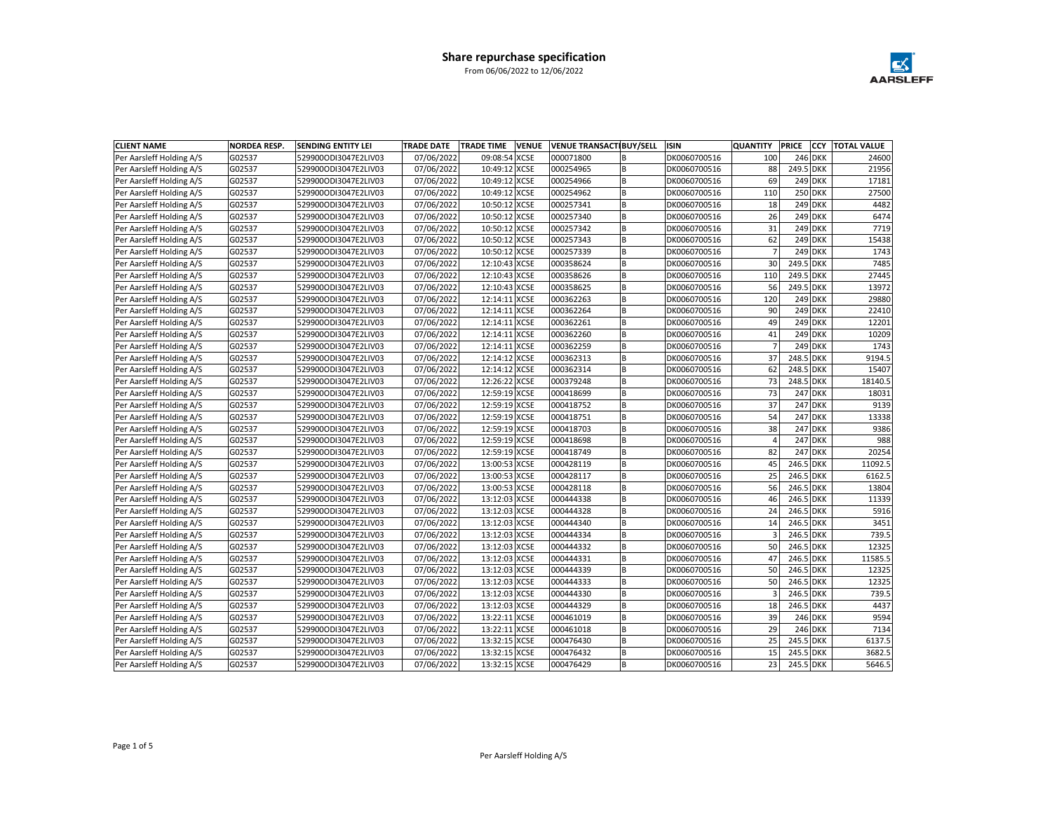

| <b>CLIENT NAME</b>       | <b>NORDEA RESP.</b> | <b>SENDING ENTITY LEI</b> | <b>TRADE DATE</b> | <b>TRADE TIME</b><br><b>VENUE</b> | <b>VENUE TRANSACTIBUY/SELL</b> |                | <b>ISIN</b>  | <b>QUANTITY</b>         | PRICE     | <b>CCY</b>     | <b>TOTAL VALUE</b> |
|--------------------------|---------------------|---------------------------|-------------------|-----------------------------------|--------------------------------|----------------|--------------|-------------------------|-----------|----------------|--------------------|
| Per Aarsleff Holding A/S | G02537              | 529900ODI3047E2LIV03      | 07/06/2022        | 09:08:54<br><b>XCSE</b>           | 000071800                      | B              | DK0060700516 | 100                     |           | <b>246 DKK</b> | 24600              |
| Per Aarsleff Holding A/S | G02537              | 529900ODI3047E2LIV03      | 07/06/2022        | 10:49:12 XCSE                     | 000254965                      | lв             | DK0060700516 | 88                      | 249.5 DKK |                | 21956              |
| Per Aarsleff Holding A/S | G02537              | 529900ODI3047E2LIV03      | 07/06/2022        | 10:49:12 XCSE                     | 000254966                      | B              | DK0060700516 | 69                      |           | 249 DKK        | 17181              |
| Per Aarsleff Holding A/S | G02537              | 529900ODI3047E2LIV03      | 07/06/2022        | 10:49:12 XCSE                     | 000254962                      | lв             | DK0060700516 | 110                     |           | 250 DKK        | 27500              |
| Per Aarsleff Holding A/S | G02537              | 529900ODI3047E2LIV03      | 07/06/2022        | 10:50:12 XCSE                     | 000257341                      | lв             | DK0060700516 | 18                      |           | 249 DKK        | 4482               |
| Per Aarsleff Holding A/S | G02537              | 529900ODI3047E2LIV03      | 07/06/2022        | 10:50:12 XCSE                     | 000257340                      | lв             | DK0060700516 | 26                      |           | 249 DKK        | 6474               |
| Per Aarsleff Holding A/S | G02537              | 529900ODI3047E2LIV03      | 07/06/2022        | 10:50:12 XCSE                     | 000257342                      | lв             | DK0060700516 | 31                      |           | 249 DKK        | 7719               |
| Per Aarsleff Holding A/S | G02537              | 529900ODI3047E2LIV03      | 07/06/2022        | 10:50:12 XCSE                     | 000257343                      | lв             | DK0060700516 | 62                      |           | 249 DKK        | 15438              |
| Per Aarsleff Holding A/S | G02537              | 529900ODI3047E2LIV03      | 07/06/2022        | <b>XCSE</b><br>10:50:12           | 000257339                      | lв             | DK0060700516 | $\overline{7}$          |           | 249 DKK        | 1743               |
| Per Aarsleff Holding A/S | G02537              | 529900ODI3047E2LIV03      | 07/06/2022        | 12:10:43 XCSE                     | 000358624                      | l B            | DK0060700516 | 30                      | 249.5 DKK |                | 7485               |
| Per Aarsleff Holding A/S | G02537              | 529900ODI3047E2LIV03      | 07/06/2022        | 12:10:43 XCSE                     | 000358626                      | lв             | DK0060700516 | 110                     | 249.5 DKK |                | 27445              |
| Per Aarsleff Holding A/S | G02537              | 529900ODI3047E2LIV03      | 07/06/2022        | 12:10:43 XCSE                     | 000358625                      | lв             | DK0060700516 | 56                      | 249.5 DKK |                | 13972              |
| Per Aarsleff Holding A/S | G02537              | 529900ODI3047E2LIV03      | 07/06/2022        | 12:14:11 XCSE                     | 000362263                      | lв             | DK0060700516 | 120                     |           | 249 DKK        | 29880              |
| Per Aarsleff Holding A/S | G02537              | 529900ODI3047E2LIV03      | 07/06/2022        | 12:14:11 XCSE                     | 000362264                      | B              | DK0060700516 | 90                      |           | 249 DKK        | 22410              |
| Per Aarsleff Holding A/S | G02537              | 529900ODI3047E2LIV03      | 07/06/2022        | 12:14:11 XCSE                     | 000362261                      | lв             | DK0060700516 | 49                      |           | 249 DKK        | 12201              |
| Per Aarsleff Holding A/S | G02537              | 529900ODI3047E2LIV03      | 07/06/2022        | 12:14:11 XCSE                     | 000362260                      | lв             | DK0060700516 | 41                      |           | 249 DKK        | 10209              |
| Per Aarsleff Holding A/S | G02537              | 529900ODI3047E2LIV03      | 07/06/2022        | 12:14:11 XCSE                     | 000362259                      | lв             | DK0060700516 | $\overline{7}$          |           | 249 DKK        | 1743               |
| Per Aarsleff Holding A/S | G02537              | 529900ODI3047E2LIV03      | 07/06/2022        | 12:14:12 XCSE                     | 000362313                      | lв             | DK0060700516 | 37                      | 248.5 DKK |                | 9194.5             |
| Per Aarsleff Holding A/S | G02537              | 529900ODI3047E2LIV03      | 07/06/2022        | 12:14:12 XCSE                     | 000362314                      | lв             | DK0060700516 | 62                      | 248.5 DKK |                | 15407              |
| Per Aarsleff Holding A/S | G02537              | 529900ODI3047E2LIV03      | 07/06/2022        | 12:26:22 XCSE                     | 000379248                      | lв             | DK0060700516 | 73                      | 248.5 DKK |                | 18140.5            |
| Per Aarsleff Holding A/S | G02537              | 529900ODI3047E2LIV03      | 07/06/2022        | 12:59:19 XCSE                     | 000418699                      | B              | DK0060700516 | 73                      |           | 247 DKK        | 18031              |
| Per Aarsleff Holding A/S | G02537              | 529900ODI3047E2LIV03      | 07/06/2022        | 12:59:19 XCSE                     | 000418752                      | lв             | DK0060700516 | 37                      |           | <b>247 DKK</b> | 9139               |
| Per Aarsleff Holding A/S | G02537              | 529900ODI3047E2LIV03      | 07/06/2022        | 12:59:19 XCSE                     | 000418751                      | lв             | DK0060700516 | 54                      |           | <b>247 DKK</b> | 13338              |
| Per Aarsleff Holding A/S | G02537              | 529900ODI3047E2LIV03      | 07/06/2022        | 12:59:19 XCSE                     | 000418703                      | lв             | DK0060700516 | 38                      |           | <b>247 DKK</b> | 9386               |
| Per Aarsleff Holding A/S | G02537              | 529900ODI3047E2LIV03      | 07/06/2022        | 12:59:19 XCSE                     | 000418698                      | lв             | DK0060700516 | $\overline{4}$          |           | <b>247 DKK</b> | 988                |
| Per Aarsleff Holding A/S | G02537              | 529900ODI3047E2LIV03      | 07/06/2022        | 12:59:19 XCSE                     | 000418749                      | lв             | DK0060700516 | 82                      |           | 247 DKK        | 20254              |
| Per Aarsleff Holding A/S | G02537              | 529900ODI3047E2LIV03      | 07/06/2022        | 13:00:53 XCSE                     | 000428119                      | B              | DK0060700516 | 45                      | 246.5 DKK |                | 11092.5            |
| Per Aarsleff Holding A/S | G02537              | 529900ODI3047E2LIV03      | 07/06/2022        | 13:00:53 XCSE                     | 000428117                      | lв             | DK0060700516 | 25                      | 246.5 DKK |                | 6162.5             |
| Per Aarsleff Holding A/S | G02537              | 529900ODI3047E2LIV03      | 07/06/2022        | 13:00:53 XCSE                     | 000428118                      | B              | DK0060700516 | 56                      | 246.5 DKK |                | 13804              |
| Per Aarsleff Holding A/S | G02537              | 529900ODI3047E2LIV03      | 07/06/2022        | 13:12:03 XCSE                     | 000444338                      | lв             | DK0060700516 | 46                      | 246.5 DKK |                | 11339              |
| Per Aarsleff Holding A/S | G02537              | 529900ODI3047E2LIV03      | 07/06/2022        | 13:12:03 XCSE                     | 000444328                      | l B            | DK0060700516 | 24                      | 246.5 DKK |                | 5916               |
| Per Aarsleff Holding A/S | G02537              | 529900ODI3047E2LIV03      | 07/06/2022        | 13:12:03 XCSE                     | 000444340                      | lв             | DK0060700516 | 14                      | 246.5 DKK |                | 3451               |
| Per Aarsleff Holding A/S | G02537              | 529900ODI3047E2LIV03      | 07/06/2022        | 13:12:03 XCSE                     | 000444334                      | lв             | DK0060700516 |                         | 246.5 DKK |                | 739.5              |
| Per Aarsleff Holding A/S | G02537              | 529900ODI3047E2LIV03      | 07/06/2022        | 13:12:03 XCSE                     | 000444332                      | lв             | DK0060700516 | 50                      | 246.5 DKK |                | 12325              |
| Per Aarsleff Holding A/S | G02537              | 529900ODI3047E2LIV03      | 07/06/2022        | 13:12:03 XCSE                     | 000444331                      | B              | DK0060700516 | 47                      | 246.5 DKK |                | 11585.5            |
| Per Aarsleff Holding A/S | G02537              | 529900ODI3047E2LIV03      | 07/06/2022        | 13:12:03 XCSE                     | 000444339                      | B              | DK0060700516 | 50                      | 246.5 DKK |                | 12325              |
| Per Aarsleff Holding A/S | G02537              | 529900ODI3047E2LIV03      | 07/06/2022        | 13:12:03 XCSE                     | 000444333                      | lв             | DK0060700516 | 50                      | 246.5 DKK |                | 12325              |
| Per Aarsleff Holding A/S | G02537              | 529900ODI3047E2LIV03      | 07/06/2022        | 13:12:03 XCSE                     | 000444330                      | lв             | DK0060700516 | $\overline{\mathbf{3}}$ | 246.5 DKK |                | 739.5              |
| Per Aarsleff Holding A/S | G02537              | 529900ODI3047E2LIV03      | 07/06/2022        | 13:12:03 XCSE                     | 000444329                      | $\overline{B}$ | DK0060700516 | 18                      | 246.5 DKK |                | 4437               |
| Per Aarsleff Holding A/S | G02537              | 529900ODI3047E2LIV03      | 07/06/2022        | 13:22:11 XCSE                     | 000461019                      | lв             | DK0060700516 | 39                      |           | 246 DKK        | 9594               |
| Per Aarsleff Holding A/S | G02537              | 529900ODI3047E2LIV03      | 07/06/2022        | 13:22:11 XCSE                     | 000461018                      | B              | DK0060700516 | 29                      |           | 246 DKK        | 7134               |
| Per Aarsleff Holding A/S | G02537              | 529900ODI3047E2LIV03      | 07/06/2022        | 13:32:15 XCSE                     | 000476430                      | B              | DK0060700516 | 25                      | 245.5 DKK |                | 6137.5             |
| Per Aarsleff Holding A/S | G02537              | 529900ODI3047E2LIV03      | 07/06/2022        | 13:32:15 XCSE                     | 000476432                      | lв             | DK0060700516 | 15                      | 245.5 DKK |                | 3682.5             |
| Per Aarsleff Holding A/S | G02537              | 529900ODI3047E2LIV03      | 07/06/2022        | 13:32:15 XCSE                     | 000476429                      | lв             | DK0060700516 | $\overline{23}$         | 245.5 DKK |                | 5646.5             |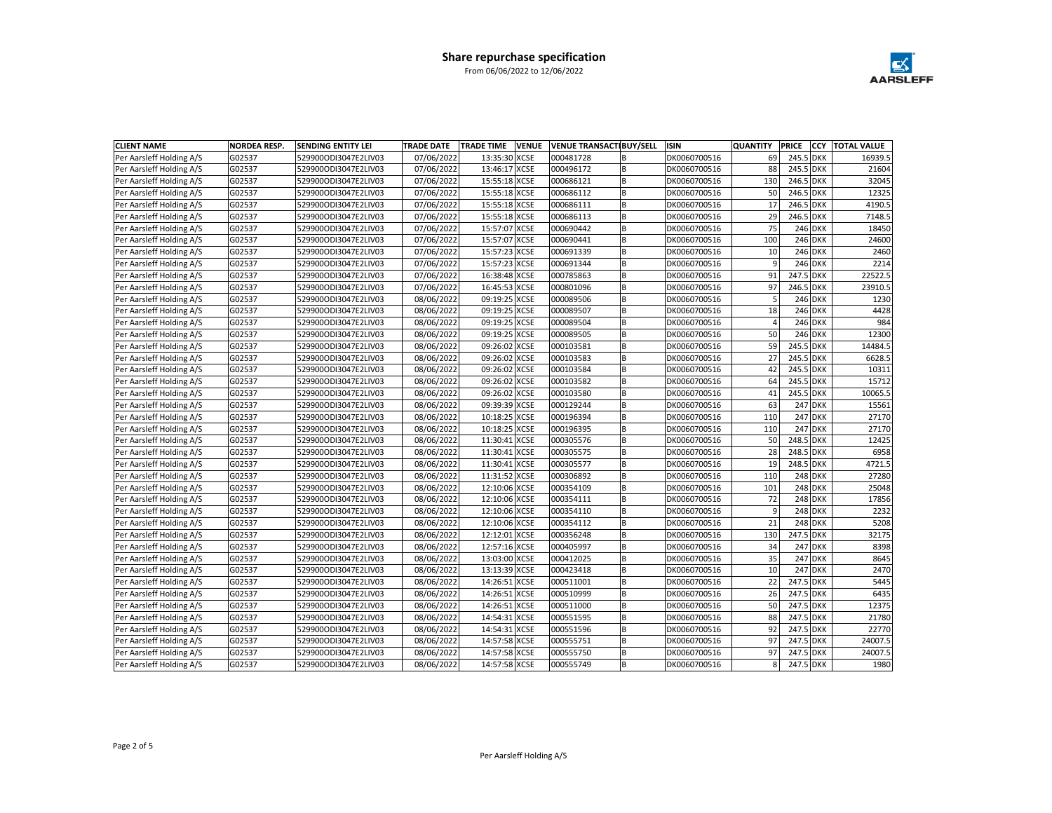

| <b>CLIENT NAME</b>       | <b>NORDEA RESP.</b> | <b>SENDING ENTITY LEI</b> | <b>TRADE DATE</b> | <b>TRADE TIME</b><br><b>VENUE</b> | <b>VENUE TRANSACTIBUY/SELL</b> |     | <b>ISIN</b>  | <b>QUANTITY</b> | <b>PRICE</b> |                | <b>CCY TOTAL VALUE</b> |
|--------------------------|---------------------|---------------------------|-------------------|-----------------------------------|--------------------------------|-----|--------------|-----------------|--------------|----------------|------------------------|
| Per Aarsleff Holding A/S | G02537              | 529900ODI3047E2LIV03      | 07/06/2022        | 13:35:30 XCSE                     | 000481728                      | B   | DK0060700516 | 69              | 245.5 DKK    |                | 16939.5                |
| Per Aarsleff Holding A/S | G02537              | 529900ODI3047E2LIV03      | 07/06/2022        | 13:46:17 XCSE                     | 000496172                      | l B | DK0060700516 | 88              | 245.5 DKK    |                | 21604                  |
| Per Aarsleff Holding A/S | G02537              | 529900ODI3047E2LIV03      | 07/06/2022        | 15:55:18 XCSE                     | 000686121                      | B   | DK0060700516 | 130             | 246.5 DKK    |                | 32045                  |
| Per Aarsleff Holding A/S | G02537              | 529900ODI3047E2LIV03      | 07/06/2022        | 15:55:18 XCSE                     | 000686112                      | lв  | DK0060700516 | 50              | 246.5 DKK    |                | 12325                  |
| Per Aarsleff Holding A/S | G02537              | 529900ODI3047E2LIV03      | 07/06/2022        | 15:55:18 XCSE                     | 000686111                      | lв  | DK0060700516 | 17              | 246.5 DKK    |                | 4190.5                 |
| Per Aarsleff Holding A/S | G02537              | 529900ODI3047E2LIV03      | 07/06/2022        | 15:55:18 XCSE                     | 000686113                      | l B | DK0060700516 | 29              | 246.5 DKK    |                | 7148.5                 |
| Per Aarsleff Holding A/S | G02537              | 529900ODI3047E2LIV03      | 07/06/2022        | 15:57:07 XCSE                     | 000690442                      | lв  | DK0060700516 | 75              |              | 246 DKK        | 18450                  |
| Per Aarsleff Holding A/S | G02537              | 529900ODI3047E2LIV03      | 07/06/2022        | 15:57:07 XCSE                     | 000690441                      | lв  | DK0060700516 | 100             |              | <b>246 DKK</b> | 24600                  |
| Per Aarsleff Holding A/S | G02537              | 529900ODI3047E2LIV03      | 07/06/2022        | 15:57:23 XCSE                     | 000691339                      | lв  | DK0060700516 | 10              |              | <b>246 DKK</b> | 2460                   |
| Per Aarsleff Holding A/S | G02537              | 529900ODI3047E2LIV03      | 07/06/2022        | 15:57:23 XCSE                     | 000691344                      | lв  | DK0060700516 | $\overline{9}$  |              | <b>246 DKK</b> | 2214                   |
| Per Aarsleff Holding A/S | G02537              | 529900ODI3047E2LIV03      | 07/06/2022        | 16:38:48 XCSE                     | 000785863                      | lв  | DK0060700516 | 91              | 247.5 DKK    |                | 22522.5                |
| Per Aarsleff Holding A/S | G02537              | 529900ODI3047E2LIV03      | 07/06/2022        | 16:45:53 XCSE                     | 000801096                      | l B | DK0060700516 | 97              | 246.5 DKK    |                | 23910.5                |
| Per Aarsleff Holding A/S | G02537              | 529900ODI3047E2LIV03      | 08/06/2022        | 09:19:25 XCSE                     | 000089506                      | lв  | DK0060700516 | $\overline{5}$  |              | <b>246 DKK</b> | 1230                   |
| Per Aarsleff Holding A/S | G02537              | 529900ODI3047E2LIV03      | 08/06/2022        | 09:19:25 XCSE                     | 000089507                      | B   | DK0060700516 | 18              |              | <b>246 DKK</b> | 4428                   |
| Per Aarsleff Holding A/S | G02537              | 529900ODI3047E2LIV03      | 08/06/2022        | 09:19:25 XCSE                     | 000089504                      | l B | DK0060700516 | $\overline{4}$  |              | <b>246 DKK</b> | 984                    |
| Per Aarsleff Holding A/S | G02537              | 529900ODI3047E2LIV03      | 08/06/2022        | 09:19:25 XCSE                     | 000089505                      | lв  | DK0060700516 | 50              |              | <b>246 DKK</b> | 12300                  |
| Per Aarsleff Holding A/S | G02537              | 529900ODI3047E2LIV03      | 08/06/2022        | 09:26:02 XCSE                     | 000103581                      | lв  | DK0060700516 | 59              | 245.5 DKK    |                | 14484.5                |
| Per Aarsleff Holding A/S | G02537              | 529900ODI3047E2LIV03      | 08/06/2022        | 09:26:02 XCSE                     | 000103583                      | lв  | DK0060700516 | 27              | 245.5 DKK    |                | 6628.5                 |
| Per Aarsleff Holding A/S | G02537              | 529900ODI3047E2LIV03      | 08/06/2022        | 09:26:02 XCSE                     | 000103584                      | lв  | DK0060700516 | 42              | 245.5 DKK    |                | 10311                  |
| Per Aarsleff Holding A/S | G02537              | 529900ODI3047E2LIV03      | 08/06/2022        | 09:26:02 XCSE                     | 000103582                      | lв  | DK0060700516 | 64              | 245.5 DKK    |                | 15712                  |
| Per Aarsleff Holding A/S | G02537              | 529900ODI3047E2LIV03      | 08/06/2022        | 09:26:02 XCSE                     | 000103580                      | B   | DK0060700516 | 41              | 245.5 DKK    |                | 10065.5                |
| Per Aarsleff Holding A/S | G02537              | 529900ODI3047E2LIV03      | 08/06/2022        | 09:39:39 XCSE                     | 000129244                      | l B | DK0060700516 | 63              |              | <b>247 DKK</b> | 15561                  |
| Per Aarsleff Holding A/S | G02537              | 529900ODI3047E2LIV03      | 08/06/2022        | 10:18:25 XCSE                     | 000196394                      | B   | DK0060700516 | 110             |              | <b>247 DKK</b> | 27170                  |
| Per Aarsleff Holding A/S | G02537              | 529900ODI3047E2LIV03      | 08/06/2022        | 10:18:25 XCSE                     | 000196395                      | lв  | DK0060700516 | 110             |              | <b>247 DKK</b> | 27170                  |
| Per Aarsleff Holding A/S | G02537              | 529900ODI3047E2LIV03      | 08/06/2022        | 11:30:41 XCSE                     | 000305576                      | lв  | DK0060700516 | 50              | 248.5 DKK    |                | 12425                  |
| Per Aarsleff Holding A/S | G02537              | 529900ODI3047E2LIV03      | 08/06/2022        | 11:30:41 XCSE                     | 000305575                      | lв  | DK0060700516 | 28              | 248.5 DKK    |                | 6958                   |
| Per Aarsleff Holding A/S | G02537              | 529900ODI3047E2LIV03      | 08/06/2022        | 11:30:41 XCSE                     | 000305577                      | B   | DK0060700516 | 19              | 248.5 DKK    |                | 4721.5                 |
| Per Aarsleff Holding A/S | G02537              | 529900ODI3047E2LIV03      | 08/06/2022        | 11:31:52 XCSE                     | 000306892                      | lв  | DK0060700516 | 110             |              | <b>248 DKK</b> | 27280                  |
| Per Aarsleff Holding A/S | G02537              | 529900ODI3047E2LIV03      | 08/06/2022        | 12:10:06 XCSE                     | 000354109                      | B   | DK0060700516 | 101             |              | <b>248 DKK</b> | 25048                  |
| Per Aarsleff Holding A/S | G02537              | 529900ODI3047E2LIV03      | 08/06/2022        | 12:10:06 XCSE                     | 000354111                      | lв  | DK0060700516 | 72              |              | <b>248 DKK</b> | 17856                  |
| Per Aarsleff Holding A/S | G02537              | 529900ODI3047E2LIV03      | 08/06/2022        | 12:10:06 XCSE                     | 000354110                      | l B | DK0060700516 | 9               |              | 248 DKK        | 2232                   |
| Per Aarsleff Holding A/S | G02537              | 529900ODI3047E2LIV03      | 08/06/2022        | 12:10:06 XCSE                     | 000354112                      | lв  | DK0060700516 | 21              |              | <b>248 DKK</b> | 5208                   |
| Per Aarsleff Holding A/S | G02537              | 529900ODI3047E2LIV03      | 08/06/2022        | 12:12:01 XCSE                     | 000356248                      | l B | DK0060700516 | 130             | 247.5 DKK    |                | 32175                  |
| Per Aarsleff Holding A/S | G02537              | 529900ODI3047E2LIV03      | 08/06/2022        | 12:57:16 XCSE                     | 000405997                      | l B | DK0060700516 | 34              |              | <b>247 DKK</b> | 8398                   |
| Per Aarsleff Holding A/S | G02537              | 529900ODI3047E2LIV03      | 08/06/2022        | 13:03:00 XCSE                     | 000412025                      | B   | DK0060700516 | 35              |              | <b>247 DKK</b> | 8645                   |
| Per Aarsleff Holding A/S | G02537              | 529900ODI3047E2LIV03      | 08/06/2022        | 13:13:39 XCSE                     | 000423418                      | B   | DK0060700516 | 10              |              | <b>247 DKK</b> | 2470                   |
| Per Aarsleff Holding A/S | G02537              | 529900ODI3047E2LIV03      | 08/06/2022        | 14:26:51 XCSE                     | 000511001                      | l B | DK0060700516 | 22              | 247.5 DKK    |                | 5445                   |
| Per Aarsleff Holding A/S | G02537              | 529900ODI3047E2LIV03      | 08/06/2022        | 14:26:51 XCSE                     | 000510999                      | B   | DK0060700516 | 26              | 247.5 DKK    |                | 6435                   |
| Per Aarsleff Holding A/S | G02537              | 529900ODI3047E2LIV03      | 08/06/2022        | 14:26:51 XCSE                     | 000511000                      | B   | DK0060700516 | 50              | 247.5 DKK    |                | 12375                  |
| Per Aarsleff Holding A/S | G02537              | 529900ODI3047E2LIV03      | 08/06/2022        | 14:54:31 XCSE                     | 000551595                      | lв  | DK0060700516 | 88              | 247.5 DKK    |                | 21780                  |
| Per Aarsleff Holding A/S | G02537              | 529900ODI3047E2LIV03      | 08/06/2022        | 14:54:31 XCSE                     | 000551596                      | B   | DK0060700516 | 92              | 247.5 DKK    |                | 22770                  |
| Per Aarsleff Holding A/S | G02537              | 529900ODI3047E2LIV03      | 08/06/2022        | 14:57:58 XCSE                     | 000555751                      | lв  | DK0060700516 | 97              | 247.5 DKK    |                | 24007.5                |
| Per Aarsleff Holding A/S | G02537              | 529900ODI3047E2LIV03      | 08/06/2022        | 14:57:58 XCSE                     | 000555750                      | l B | DK0060700516 | 97              | 247.5 DKK    |                | 24007.5                |
| Per Aarsleff Holding A/S | G02537              | 529900ODI3047E2LIV03      | 08/06/2022        | 14:57:58 XCSE                     | 000555749                      | l B | DK0060700516 | 8 <sup>1</sup>  | 247.5 DKK    |                | 1980                   |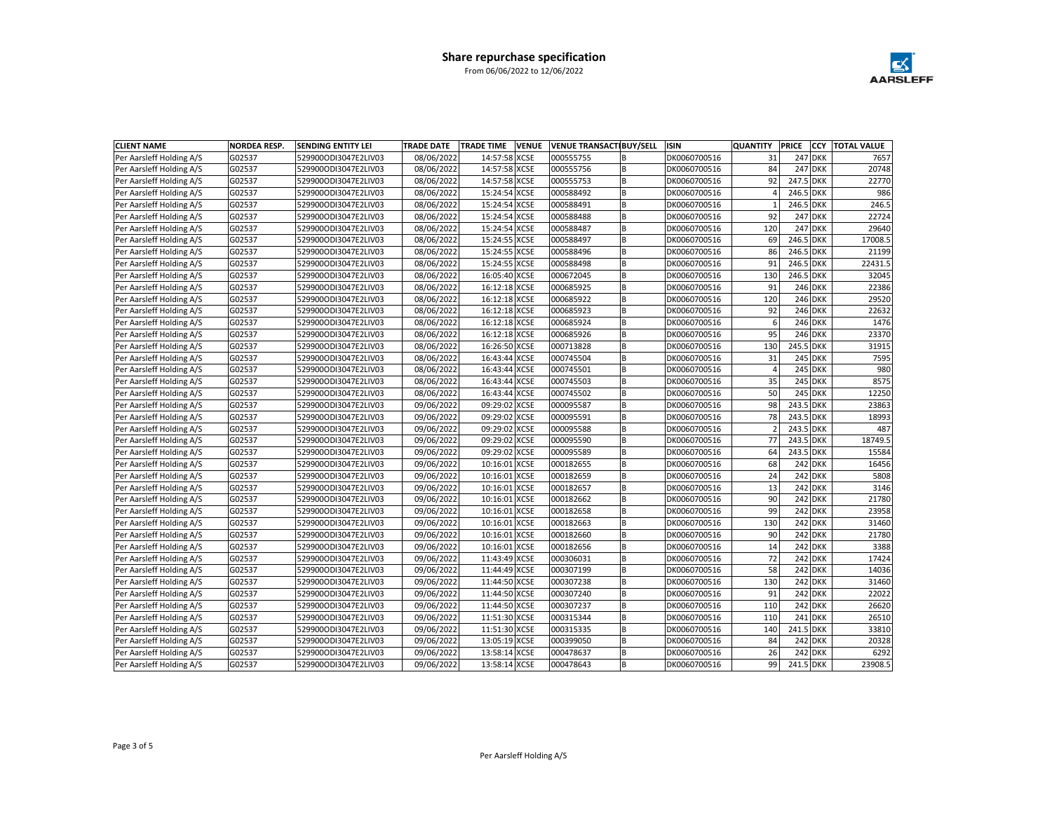

| <b>CLIENT NAME</b>       | <b>NORDEA RESP.</b> | <b>SENDING ENTITY LEI</b> | <b>TRADE DATE</b> | <b>TRADE TIME</b><br><b>VENUE</b> | <b>VENUE TRANSACTIBUY/SELL</b> |                | <b>ISIN</b>  | <b>QUANTITY</b> | PRICE     | <b>CCY</b>     | <b>TOTAL VALUE</b> |
|--------------------------|---------------------|---------------------------|-------------------|-----------------------------------|--------------------------------|----------------|--------------|-----------------|-----------|----------------|--------------------|
| Per Aarsleff Holding A/S | G02537              | 529900ODI3047E2LIV03      | 08/06/2022        | 14:57:58 XCSE                     | 000555755                      | B              | DK0060700516 | 31              |           | <b>247 DKK</b> | 7657               |
| Per Aarsleff Holding A/S | G02537              | 529900ODI3047E2LIV03      | 08/06/2022        | 14:57:58 XCSE                     | 000555756                      | lв             | DK0060700516 | 84              |           | <b>247 DKK</b> | 20748              |
| Per Aarsleff Holding A/S | G02537              | 529900ODI3047E2LIV03      | 08/06/2022        | 14:57:58 XCSE                     | 000555753                      | B              | DK0060700516 | 92              | 247.5 DKK |                | 22770              |
| Per Aarsleff Holding A/S | G02537              | 529900ODI3047E2LIV03      | 08/06/2022        | 15:24:54 XCSE                     | 000588492                      | lв             | DK0060700516 |                 | 246.5 DKK |                | 986                |
| Per Aarsleff Holding A/S | G02537              | 529900ODI3047E2LIV03      | 08/06/2022        | 15:24:54 XCSE                     | 000588491                      | lв             | DK0060700516 |                 | 246.5 DKK |                | 246.5              |
| Per Aarsleff Holding A/S | G02537              | 529900ODI3047E2LIV03      | 08/06/2022        | 15:24:54 XCSE                     | 000588488                      | lв             | DK0060700516 | 92              |           | <b>247 DKK</b> | 22724              |
| Per Aarsleff Holding A/S | G02537              | 529900ODI3047E2LIV03      | 08/06/2022        | 15:24:54 XCSE                     | 000588487                      | lв             | DK0060700516 | 120             |           | 247 DKK        | 29640              |
| Per Aarsleff Holding A/S | G02537              | 529900ODI3047E2LIV03      | 08/06/2022        | 15:24:55 XCSE                     | 000588497                      | B              | DK0060700516 | 69              | 246.5 DKK |                | 17008.5            |
| Per Aarsleff Holding A/S | G02537              | 529900ODI3047E2LIV03      | 08/06/2022        | 15:24:55 XCSE                     | 000588496                      | lв             | DK0060700516 | 86              | 246.5 DKK |                | 21199              |
| Per Aarsleff Holding A/S | G02537              | 529900ODI3047E2LIV03      | 08/06/2022        | 15:24:55 XCSE                     | 000588498                      | $\overline{B}$ | DK0060700516 | 91              | 246.5 DKK |                | 22431.5            |
| Per Aarsleff Holding A/S | G02537              | 529900ODI3047E2LIV03      | 08/06/2022        | 16:05:40 XCSE                     | 000672045                      | B              | DK0060700516 | 130             | 246.5 DKK |                | 32045              |
| Per Aarsleff Holding A/S | G02537              | 529900ODI3047E2LIV03      | 08/06/2022        | 16:12:18 XCSE                     | 000685925                      | lв             | DK0060700516 | 91              |           | 246 DKK        | 22386              |
| Per Aarsleff Holding A/S | G02537              | 529900ODI3047E2LIV03      | 08/06/2022        | 16:12:18 XCSE                     | 000685922                      | lв             | DK0060700516 | 120             |           | 246 DKK        | 29520              |
| Per Aarsleff Holding A/S | G02537              | 529900ODI3047E2LIV03      | 08/06/2022        | 16:12:18 XCSE                     | 000685923                      | B              | DK0060700516 | 92              |           | 246 DKK        | 22632              |
| Per Aarsleff Holding A/S | G02537              | 529900ODI3047E2LIV03      | 08/06/2022        | 16:12:18 XCSE                     | 000685924                      | lв             | DK0060700516 | 6               |           | 246 DKK        | 1476               |
| Per Aarsleff Holding A/S | G02537              | 529900ODI3047E2LIV03      | 08/06/2022        | 16:12:18 XCSE                     | 000685926                      | lв             | DK0060700516 | 95              |           | <b>246 DKK</b> | 23370              |
| Per Aarsleff Holding A/S | G02537              | 529900ODI3047E2LIV03      | 08/06/2022        | 16:26:50 XCSE                     | 000713828                      | B              | DK0060700516 | 130             | 245.5 DKK |                | 31915              |
| Per Aarsleff Holding A/S | G02537              | 529900ODI3047E2LIV03      | 08/06/2022        | 16:43:44 XCSE                     | 000745504                      | lв             | DK0060700516 | 31              |           | <b>245 DKK</b> | 7595               |
| Per Aarsleff Holding A/S | G02537              | 529900ODI3047E2LIV03      | 08/06/2022        | 16:43:44 XCSE                     | 000745501                      | lв             | DK0060700516 | $\overline{4}$  |           | 245 DKK        | 980                |
| Per Aarsleff Holding A/S | G02537              | 529900ODI3047E2LIV03      | 08/06/2022        | 16:43:44 XCSE                     | 000745503                      | lв             | DK0060700516 | 35              |           | 245 DKK        | 8575               |
| Per Aarsleff Holding A/S | G02537              | 529900ODI3047E2LIV03      | 08/06/2022        | 16:43:44 XCSE                     | 000745502                      | B              | DK0060700516 | 50              |           | 245 DKK        | 12250              |
| Per Aarsleff Holding A/S | G02537              | 529900ODI3047E2LIV03      | 09/06/2022        | 09:29:02 XCSE                     | 000095587                      | lв             | DK0060700516 | 98              | 243.5 DKK |                | 23863              |
| Per Aarsleff Holding A/S | G02537              | 529900ODI3047E2LIV03      | 09/06/2022        | 09:29:02 XCSE                     | 000095591                      | lв             | DK0060700516 | 78              | 243.5 DKK |                | 18993              |
| Per Aarsleff Holding A/S | G02537              | 529900ODI3047E2LIV03      | 09/06/2022        | 09:29:02 XCSE                     | 000095588                      | B              | DK0060700516 |                 | 243.5 DKK |                | 487                |
| Per Aarsleff Holding A/S | G02537              | 529900ODI3047E2LIV03      | 09/06/2022        | 09:29:02 XCSE                     | 000095590                      | lв             | DK0060700516 | 77              | 243.5 DKK |                | 18749.5            |
| Per Aarsleff Holding A/S | G02537              | 529900ODI3047E2LIV03      | 09/06/2022        | 09:29:02 XCSE                     | 000095589                      | lв             | DK0060700516 | 64              | 243.5 DKK |                | 15584              |
| Per Aarsleff Holding A/S | G02537              | 529900ODI3047E2LIV03      | 09/06/2022        | 10:16:01 XCSE                     | 000182655                      | B              | DK0060700516 | 68              |           | 242 DKK        | 16456              |
| Per Aarsleff Holding A/S | G02537              | 529900ODI3047E2LIV03      | 09/06/2022        | 10:16:01 XCSE                     | 000182659                      | lв             | DK0060700516 | 24              |           | 242 DKK        | 5808               |
| Per Aarsleff Holding A/S | G02537              | 529900ODI3047E2LIV03      | 09/06/2022        | 10:16:01 XCSE                     | 000182657                      | B              | DK0060700516 | 13              |           | 242 DKK        | 3146               |
| Per Aarsleff Holding A/S | G02537              | 529900ODI3047E2LIV03      | 09/06/2022        | 10:16:01 XCSE                     | 000182662                      | lв             | DK0060700516 | 90              |           | 242 DKK        | 21780              |
| Per Aarsleff Holding A/S | G02537              | 529900ODI3047E2LIV03      | 09/06/2022        | 10:16:01 XCSE                     | 000182658                      | l B            | DK0060700516 | 99              |           | 242 DKK        | 23958              |
| Per Aarsleff Holding A/S | G02537              | 529900ODI3047E2LIV03      | 09/06/2022        | 10:16:01 XCSE                     | 000182663                      | lв             | DK0060700516 | 130             |           | 242 DKK        | 31460              |
| Per Aarsleff Holding A/S | G02537              | 529900ODI3047E2LIV03      | 09/06/2022        | 10:16:01 XCSE                     | 000182660                      | lв             | DK0060700516 | 90              |           | 242 DKK        | 21780              |
| Per Aarsleff Holding A/S | G02537              | 529900ODI3047E2LIV03      | 09/06/2022        | 10:16:01 XCSE                     | 000182656                      | lв             | DK0060700516 | 14              |           | 242 DKK        | 3388               |
| Per Aarsleff Holding A/S | G02537              | 529900ODI3047E2LIV03      | 09/06/2022        | 11:43:49 XCSE                     | 000306031                      | B              | DK0060700516 | 72              |           | 242 DKK        | 17424              |
| Per Aarsleff Holding A/S | G02537              | 529900ODI3047E2LIV03      | 09/06/2022        | 11:44:49 XCSE                     | 000307199                      | lв             | DK0060700516 | 58              |           | <b>242 DKK</b> | 14036              |
| Per Aarsleff Holding A/S | G02537              | 529900ODI3047E2LIV03      | 09/06/2022        | 11:44:50 XCSE                     | 000307238                      | lв             | DK0060700516 | 130             |           | 242 DKK        | 31460              |
| Per Aarsleff Holding A/S | G02537              | 529900ODI3047E2LIV03      | 09/06/2022        | 11:44:50 XCSE                     | 000307240                      | B              | DK0060700516 | 91              |           | 242 DKK        | 22022              |
| Per Aarsleff Holding A/S | G02537              | 529900ODI3047E2LIV03      | 09/06/2022        | 11:44:50 XCSE                     | 000307237                      | $\overline{B}$ | DK0060700516 | 110             |           | 242 DKK        | 26620              |
| Per Aarsleff Holding A/S | G02537              | 529900ODI3047E2LIV03      | 09/06/2022        | 11:51:30 XCSE                     | 000315344                      | lв             | DK0060700516 | 110             |           | 241 DKK        | 26510              |
| Per Aarsleff Holding A/S | G02537              | 529900ODI3047E2LIV03      | 09/06/2022        | 11:51:30 XCSE                     | 000315335                      | B              | DK0060700516 | 140             | 241.5 DKK |                | 33810              |
| Per Aarsleff Holding A/S | G02537              | 529900ODI3047E2LIV03      | 09/06/2022        | 13:05:19 XCSE                     | 000399050                      | B              | DK0060700516 | 84              |           | 242 DKK        | 20328              |
| Per Aarsleff Holding A/S | G02537              | 529900ODI3047E2LIV03      | 09/06/2022        | 13:58:14 XCSE                     | 000478637                      | lв             | DK0060700516 | 26              |           | 242 DKK        | 6292               |
| Per Aarsleff Holding A/S | G02537              | 529900ODI3047E2LIV03      | 09/06/2022        | 13:58:14 XCSE                     | 000478643                      | lв             | DK0060700516 | 99              | 241.5 DKK |                | 23908.5            |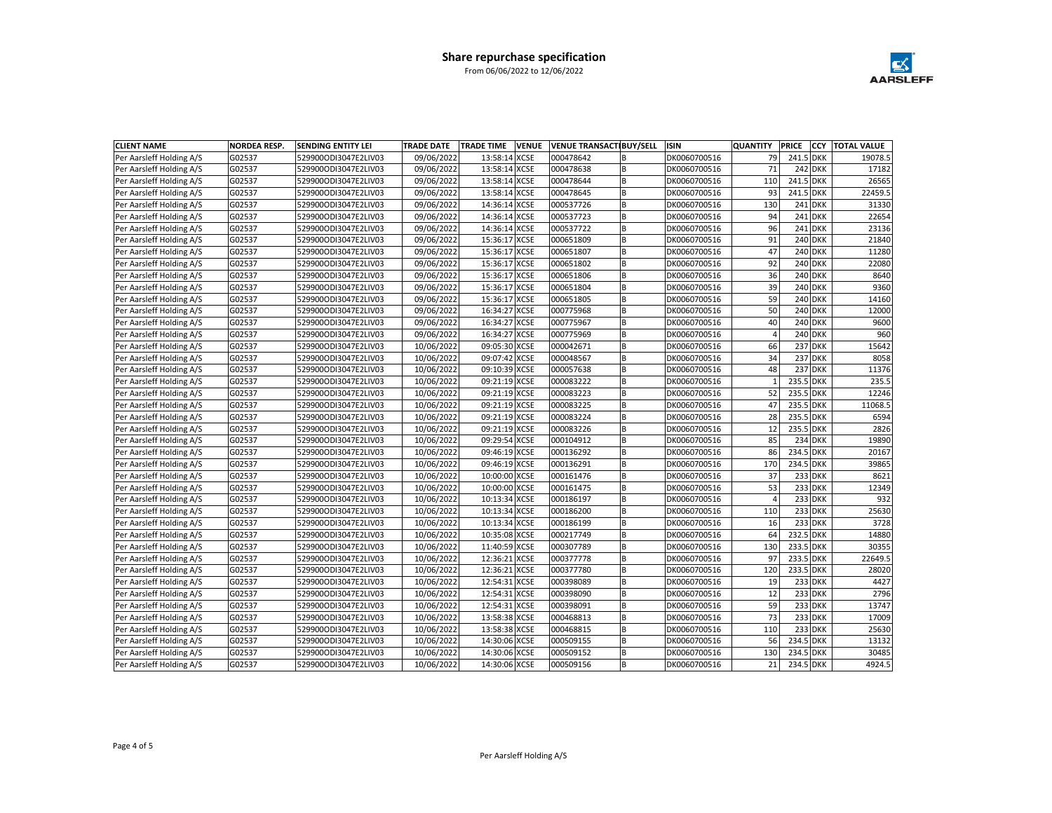

| <b>CLIENT NAME</b>       | <b>NORDEA RESP.</b> | <b>SENDING ENTITY LEI</b> | <b>TRADE DATE</b> | <b>TRADE TIME</b><br><b>VENUE</b> | <b>VENUE TRANSACTIBUY/SELL</b> |                | <b>ISIN</b>  | <b>QUANTITY</b> | PRICE     | <b>CCY</b>     | <b>TOTAL VALUE</b> |
|--------------------------|---------------------|---------------------------|-------------------|-----------------------------------|--------------------------------|----------------|--------------|-----------------|-----------|----------------|--------------------|
| Per Aarsleff Holding A/S | G02537              | 529900ODI3047E2LIV03      | 09/06/2022        | 13:58:14 XCSE                     | 000478642                      | B              | DK0060700516 | 79              | 241.5 DKK |                | 19078.5            |
| Per Aarsleff Holding A/S | G02537              | 529900ODI3047E2LIV03      | 09/06/2022        | 13:58:14 XCSE                     | 000478638                      | lв             | DK0060700516 | 71              |           | <b>242 DKK</b> | 17182              |
| Per Aarsleff Holding A/S | G02537              | 529900ODI3047E2LIV03      | 09/06/2022        | 13:58:14 XCSE                     | 000478644                      | B              | DK0060700516 | 110             | 241.5 DKK |                | 26565              |
| Per Aarsleff Holding A/S | G02537              | 529900ODI3047E2LIV03      | 09/06/2022        | 13:58:14 XCSE                     | 000478645                      | lв             | DK0060700516 | 93              | 241.5 DKK |                | 22459.5            |
| Per Aarsleff Holding A/S | G02537              | 529900ODI3047E2LIV03      | 09/06/2022        | 14:36:14 XCSE                     | 000537726                      | lв             | DK0060700516 | 130             |           | 241 DKK        | 31330              |
| Per Aarsleff Holding A/S | G02537              | 529900ODI3047E2LIV03      | 09/06/2022        | 14:36:14 XCSE                     | 000537723                      | lв             | DK0060700516 | 94              |           | 241 DKK        | 22654              |
| Per Aarsleff Holding A/S | G02537              | 529900ODI3047E2LIV03      | 09/06/2022        | 14:36:14 XCSE                     | 000537722                      | lв             | DK0060700516 | 96              |           | 241 DKK        | 23136              |
| Per Aarsleff Holding A/S | G02537              | 529900ODI3047E2LIV03      | 09/06/2022        | 15:36:17 XCSE                     | 000651809                      | lв             | DK0060700516 | 91              |           | <b>240 DKK</b> | 21840              |
| Per Aarsleff Holding A/S | G02537              | 529900ODI3047E2LIV03      | 09/06/2022        | 15:36:17 XCSE                     | 000651807                      | lв             | DK0060700516 | 47              |           | <b>240 DKK</b> | 11280              |
| Per Aarsleff Holding A/S | G02537              | 529900ODI3047E2LIV03      | 09/06/2022        | 15:36:17 XCSE                     | 000651802                      | $\overline{B}$ | DK0060700516 | 92              |           | <b>240 DKK</b> | 22080              |
| Per Aarsleff Holding A/S | G02537              | 529900ODI3047E2LIV03      | 09/06/2022        | 15:36:17 XCSE                     | 000651806                      | lв             | DK0060700516 | 36              |           | <b>240 DKK</b> | 8640               |
| Per Aarsleff Holding A/S | G02537              | 529900ODI3047E2LIV03      | 09/06/2022        | 15:36:17 XCSE                     | 000651804                      | lв             | DK0060700516 | 39              |           | <b>240 DKK</b> | 9360               |
| Per Aarsleff Holding A/S | G02537              | 529900ODI3047E2LIV03      | 09/06/2022        | 15:36:17 XCSE                     | 000651805                      | lв             | DK0060700516 | 59              |           | 240 DKK        | 14160              |
| Per Aarsleff Holding A/S | G02537              | 529900ODI3047E2LIV03      | 09/06/2022        | 16:34:27 XCSE                     | 000775968                      | B              | DK0060700516 | 50              |           | <b>240 DKK</b> | 12000              |
| Per Aarsleff Holding A/S | G02537              | 529900ODI3047E2LIV03      | 09/06/2022        | 16:34:27 XCSE                     | 000775967                      | lв             | DK0060700516 | 40              |           | <b>240 DKK</b> | 9600               |
| Per Aarsleff Holding A/S | G02537              | 529900ODI3047E2LIV03      | 09/06/2022        | 16:34:27 XCSE                     | 000775969                      | lв             | DK0060700516 | $\Delta$        |           | <b>240 DKK</b> | 960                |
| Per Aarsleff Holding A/S | G02537              | 529900ODI3047E2LIV03      | 10/06/2022        | 09:05:30 XCSE                     | 000042671                      | B              | DK0060700516 | 66              |           | <b>237 DKK</b> | 15642              |
| Per Aarsleff Holding A/S | G02537              | 529900ODI3047E2LIV03      | 10/06/2022        | 09:07:42 XCSE                     | 000048567                      | lв             | DK0060700516 | 34              |           | <b>237 DKK</b> | 8058               |
| Per Aarsleff Holding A/S | G02537              | 529900ODI3047E2LIV03      | 10/06/2022        | 09:10:39 XCSE                     | 000057638                      | lв             | DK0060700516 | 48              |           | 237 DKK        | 11376              |
| Per Aarsleff Holding A/S | G02537              | 529900ODI3047E2LIV03      | 10/06/2022        | 09:21:19 XCSE                     | 000083222                      | lв             | DK0060700516 |                 | 235.5 DKK |                | 235.5              |
| Per Aarsleff Holding A/S | G02537              | 529900ODI3047E2LIV03      | 10/06/2022        | 09:21:19 XCSE                     | 000083223                      | B              | DK0060700516 | 52              | 235.5 DKK |                | 12246              |
| Per Aarsleff Holding A/S | G02537              | 529900ODI3047E2LIV03      | 10/06/2022        | 09:21:19 XCSE                     | 000083225                      | lв             | DK0060700516 | 47              | 235.5 DKK |                | 11068.5            |
| Per Aarsleff Holding A/S | G02537              | 529900ODI3047E2LIV03      | 10/06/2022        | 09:21:19 XCSE                     | 000083224                      | lв             | DK0060700516 | 28              | 235.5 DKK |                | 6594               |
| Per Aarsleff Holding A/S | G02537              | 529900ODI3047E2LIV03      | 10/06/2022        | 09:21:19 XCSE                     | 000083226                      | B              | DK0060700516 | 12              | 235.5 DKK |                | 2826               |
| Per Aarsleff Holding A/S | G02537              | 529900ODI3047E2LIV03      | 10/06/2022        | 09:29:54 XCSE                     | 000104912                      | lв             | DK0060700516 | 85              |           | <b>234 DKK</b> | 19890              |
| Per Aarsleff Holding A/S | G02537              | 529900ODI3047E2LIV03      | 10/06/2022        | 09:46:19 XCSE                     | 000136292                      | lв             | DK0060700516 | 86              | 234.5 DKK |                | 20167              |
| Per Aarsleff Holding A/S | G02537              | 529900ODI3047E2LIV03      | 10/06/2022        | 09:46:19 XCSE                     | 000136291                      | B              | DK0060700516 | 170             | 234.5 DKK |                | 39865              |
| Per Aarsleff Holding A/S | G02537              | 529900ODI3047E2LIV03      | 10/06/2022        | 10:00:00 XCSE                     | 000161476                      | lв             | DK0060700516 | 37              |           | 233 DKK        | 8621               |
| Per Aarsleff Holding A/S | G02537              | 529900ODI3047E2LIV03      | 10/06/2022        | 10:00:00 XCSE                     | 000161475                      | B              | DK0060700516 | 53              |           | 233 DKK        | 12349              |
| Per Aarsleff Holding A/S | G02537              | 529900ODI3047E2LIV03      | 10/06/2022        | 10:13:34 XCSE                     | 000186197                      | lв             | DK0060700516 | $\Delta$        |           | 233 DKK        | 932                |
| Per Aarsleff Holding A/S | G02537              | 529900ODI3047E2LIV03      | 10/06/2022        | 10:13:34 XCSE                     | 000186200                      | l B            | DK0060700516 | 110             |           | 233 DKK        | 25630              |
| Per Aarsleff Holding A/S | G02537              | 529900ODI3047E2LIV03      | 10/06/2022        | 10:13:34 XCSE                     | 000186199                      | lв             | DK0060700516 | 16              |           | 233 DKK        | 3728               |
| Per Aarsleff Holding A/S | G02537              | 529900ODI3047E2LIV03      | 10/06/2022        | 10:35:08 XCSE                     | 000217749                      | lв             | DK0060700516 | 64              | 232.5 DKK |                | 14880              |
| Per Aarsleff Holding A/S | G02537              | 529900ODI3047E2LIV03      | 10/06/2022        | 11:40:59 XCSE                     | 000307789                      | lв             | DK0060700516 | 130             | 233.5 DKK |                | 30355              |
| Per Aarsleff Holding A/S | G02537              | 529900ODI3047E2LIV03      | 10/06/2022        | 12:36:21 XCSE                     | 000377778                      | B              | DK0060700516 | 97              | 233.5 DKK |                | 22649.5            |
| Per Aarsleff Holding A/S | G02537              | 529900ODI3047E2LIV03      | 10/06/2022        | 12:36:21 XCSE                     | 000377780                      | B              | DK0060700516 | 120             | 233.5 DKK |                | 28020              |
| Per Aarsleff Holding A/S | G02537              | 529900ODI3047E2LIV03      | 10/06/2022        | 12:54:31 XCSE                     | 000398089                      | lв             | DK0060700516 | 19              |           | <b>233 DKK</b> | 4427               |
| Per Aarsleff Holding A/S | G02537              | 529900ODI3047E2LIV03      | 10/06/2022        | 12:54:31 XCSE                     | 000398090                      | lв             | DK0060700516 | 12              |           | 233 DKK        | 2796               |
| Per Aarsleff Holding A/S | G02537              | 529900ODI3047E2LIV03      | 10/06/2022        | 12:54:31 XCSE                     | 000398091                      | $\overline{B}$ | DK0060700516 | 59              |           | 233 DKK        | 13747              |
| Per Aarsleff Holding A/S | G02537              | 529900ODI3047E2LIV03      | 10/06/2022        | 13:58:38 XCSE                     | 000468813                      | lв             | DK0060700516 | 73              |           | 233 DKK        | 17009              |
| Per Aarsleff Holding A/S | G02537              | 529900ODI3047E2LIV03      | 10/06/2022        | 13:58:38 XCSE                     | 000468815                      | B              | DK0060700516 | 110             |           | 233 DKK        | 25630              |
| Per Aarsleff Holding A/S | G02537              | 529900ODI3047E2LIV03      | 10/06/2022        | 14:30:06 XCSE                     | 000509155                      | B              | DK0060700516 | 56              | 234.5 DKK |                | 13132              |
| Per Aarsleff Holding A/S | G02537              | 529900ODI3047E2LIV03      | 10/06/2022        | 14:30:06 XCSE                     | 000509152                      | lв             | DK0060700516 | 130             | 234.5 DKK |                | 30485              |
| Per Aarsleff Holding A/S | G02537              | 529900ODI3047E2LIV03      | 10/06/2022        | 14:30:06 XCSE                     | 000509156                      | lв             | DK0060700516 | 21              | 234.5 DKK |                | 4924.5             |